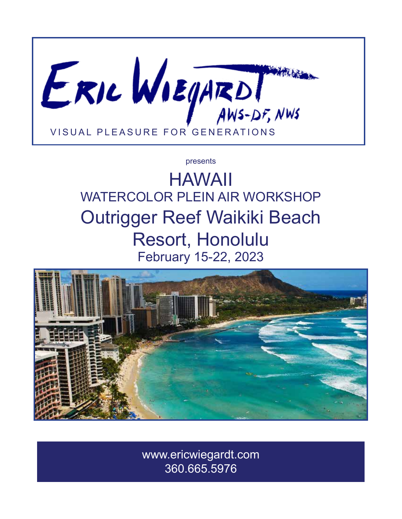

#### presents

# HAWAII WATERCOLOR PLEIN AIR WORKSHOP Outrigger Reef Waikiki Beach Resort, Honolulu February 15-22, 2023



www.ericwiegardt.com 360.665.5976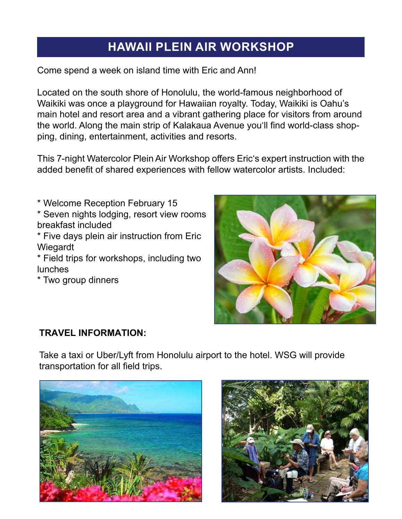# **HAWAII PLEIN AIR WORKSHOP**

Come spend a week on island time with Eric and Ann!

Located on the south shore of Honolulu, the world-famous neighborhood of Waikiki was once a playground for Hawaiian royalty. Today, Waikiki is Oahu's main hotel and resort area and a vibrant gathering place for visitors from around the world. Along the main strip of Kalakaua Avenue you'll find world-class shopping, dining, entertainment, activities and resorts.

This 7-night Watercolor Plein Air Workshop offers Eric's expert instruction with the added benefit of shared experiences with fellow watercolor artists. Included:

\* Welcome Reception February 15

\* Seven nights lodging, resort view rooms breakfast included

\* Five days plein air instruction from Eric Wiegardt

\* Field trips for workshops, including two lunches

\* Two group dinners



#### **TRAVEL INFORMATION:**

Take a taxi or Uber/Lyft from Honolulu airport to the hotel. WSG will provide transportation for all field trips.



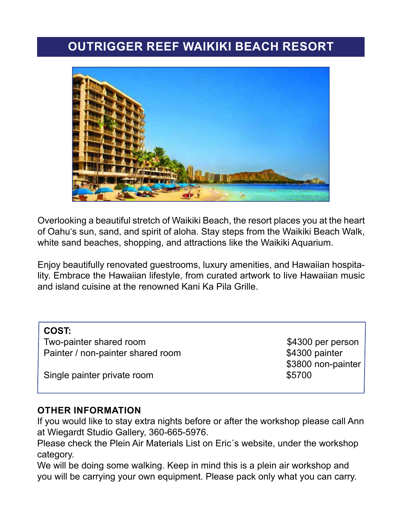### **OUTRIGGER REEF WAIKIKI BEACH RESORT**



Overlooking a beautiful stretch of Waikiki Beach, the resort places you at the heart of Oahu's sun, sand, and spirit of aloha. Stay steps from the Waikiki Beach Walk, white sand beaches, shopping, and attractions like the Waikiki Aquarium.

Enjoy beautifully renovated guestrooms, luxury amenities, and Hawaiian hospitality. Embrace the Hawaiian lifestyle, from curated artwork to live Hawaiian music and island cuisine at the renowned Kani Ka Pila Grille.

| <b>COST:</b>                      |                    |
|-----------------------------------|--------------------|
| Two-painter shared room           | \$4300 per person  |
| Painter / non-painter shared room | \$4300 painter     |
|                                   | \$3800 non-painter |
| Single painter private room       | \$5700             |
|                                   |                    |

#### **OTHER INFORMATION**

I

If you would like to stay extra nights before or after the workshop please call Ann at Wiegardt Studio Gallery, 360-665-5976.

Please check the Plein Air Materials List on Eric´s website, under the workshop category.

We will be doing some walking. Keep in mind this is a plein air workshop and you will be carrying your own equipment. Please pack only what you can carry.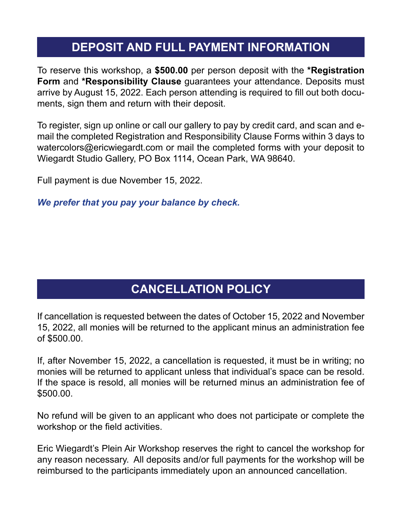# **DEPOSIT AND FULL PAYMENT INFORMATION**

To reserve this workshop, a **\$500.00** per person deposit with the **\*Registration Form** and **\*Responsibility Clause** guarantees your attendance. Deposits must arrive by August 15, 2022. Each person attending is required to fill out both documents, sign them and return with their deposit.

To register, sign up online or call our gallery to pay by credit card, and scan and email the completed Registration and Responsibility Clause Forms within 3 days to watercolors@ericwiegardt.com or mail the completed forms with your deposit to Wiegardt Studio Gallery, PO Box 1114, Ocean Park, WA 98640.

Full payment is due November 15, 2022.

*We prefer that you pay your balance by check.*

### **CANCELLATION POLICY**

If cancellation is requested between the dates of October 15, 2022 and November 15, 2022, all monies will be returned to the applicant minus an administration fee of \$500.00.

If, after November 15, 2022, a cancellation is requested, it must be in writing; no monies will be returned to applicant unless that individual's space can be resold. If the space is resold, all monies will be returned minus an administration fee of \$500.00.

No refund will be given to an applicant who does not participate or complete the workshop or the field activities.

Eric Wiegardt's Plein Air Workshop reserves the right to cancel the workshop for any reason necessary. All deposits and/or full payments for the workshop will be reimbursed to the participants immediately upon an announced cancellation.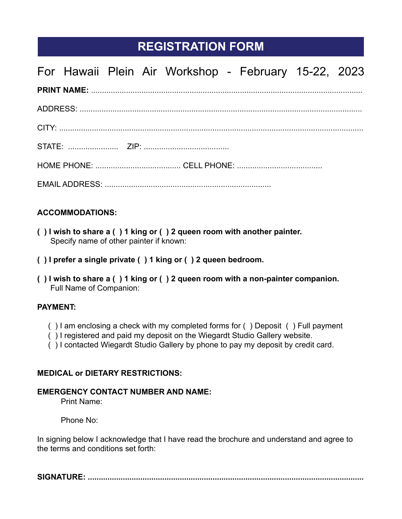### **REGISTRATION FORM**

|  |  | For Hawaii Plein Air Workshop - February 15-22, 2023 |  |  |
|--|--|------------------------------------------------------|--|--|
|  |  |                                                      |  |  |
|  |  |                                                      |  |  |
|  |  |                                                      |  |  |
|  |  |                                                      |  |  |
|  |  |                                                      |  |  |
|  |  |                                                      |  |  |

#### **ACCOMMODATIONS:**

- **( ) I wish to share a ( ) 1 king or ( ) 2 queen room with another painter.** Specify name of other painter if known:
- **( ) I prefer a single private ( ) 1 king or ( ) 2 queen bedroom.**
- **( ) I wish to share a ( ) 1 king or ( ) 2 queen room with a non-painter companion. Full Name of Companion:**

#### **PAYMENT:**

- ( ) I am enclosing a check with my completed forms for ( ) Deposit ( ) Full payment
- ( ) I registered and paid my deposit on the Wiegardt Studio Gallery website.
- ( ) I contacted Wiegardt Studio Gallery by phone to pay my deposit by credit card.

#### **MEDICAL or DIETARY RESTRICTIONS:**

#### **EMERGENCY CONTACT NUMBER AND NAME:**

Print Name:

Phone No:

In signing below I acknowledge that I have read the brochure and understand and agree to the terms and conditions set forth:

**SIGNATURE: ..............................................................................................................................**